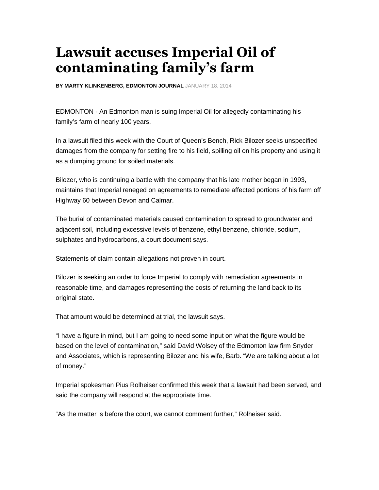## **Lawsuit accuses Imperial Oil of contaminating family's farm**

**BY MARTY KLINKENBERG, EDMONTON JOURNAL** JANUARY 18, 2014

EDMONTON - An Edmonton man is suing Imperial Oil for allegedly contaminating his family's farm of nearly 100 years.

In a lawsuit filed this week with the Court of Queen's Bench, Rick Bilozer seeks unspecified damages from the company for setting fire to his field, spilling oil on his property and using it as a dumping ground for soiled materials.

Bilozer, who is continuing a battle with the company that his late mother began in 1993, maintains that Imperial reneged on agreements to remediate affected portions of his farm off Highway 60 between Devon and Calmar.

The burial of contaminated materials caused contamination to spread to groundwater and adjacent soil, including excessive levels of benzene, ethyl benzene, chloride, sodium, sulphates and hydrocarbons, a court document says.

Statements of claim contain allegations not proven in court.

Bilozer is seeking an order to force Imperial to comply with remediation agreements in reasonable time, and damages representing the costs of returning the land back to its original state.

That amount would be determined at trial, the lawsuit says.

"I have a figure in mind, but I am going to need some input on what the figure would be based on the level of contamination," said David Wolsey of the Edmonton law firm Snyder and Associates, which is representing Bilozer and his wife, Barb. "We are talking about a lot of money."

Imperial spokesman Pius Rolheiser confirmed this week that a lawsuit had been served, and said the company will respond at the appropriate time.

"As the matter is before the court, we cannot comment further," Rolheiser said.